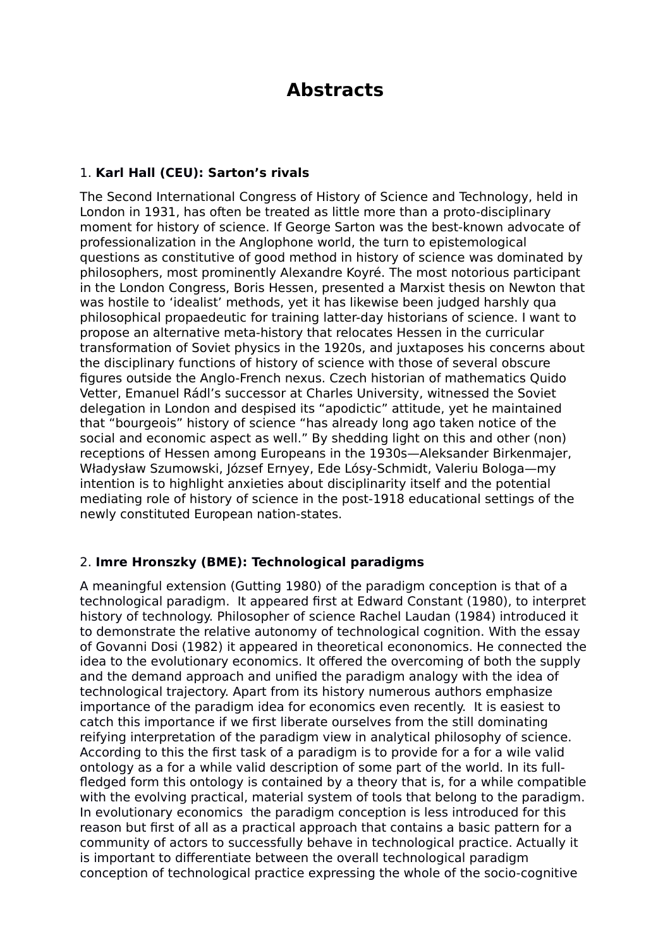# **Abstracts**

## 1. **Karl Hall (CEU): Sarton's rivals**

The Second International Congress of History of Science and Technology, held in London in 1931, has often be treated as little more than a proto-disciplinary moment for history of science. If George Sarton was the best-known advocate of professionalization in the Anglophone world, the turn to epistemological questions as constitutive of good method in history of science was dominated by philosophers, most prominently Alexandre Koyré. The most notorious participant in the London Congress, Boris Hessen, presented a Marxist thesis on Newton that was hostile to 'idealist' methods, yet it has likewise been judged harshly qua philosophical propaedeutic for training latter-day historians of science. I want to propose an alternative meta-history that relocates Hessen in the curricular transformation of Soviet physics in the 1920s, and juxtaposes his concerns about the disciplinary functions of history of science with those of several obscure figures outside the Anglo-French nexus. Czech historian of mathematics Quido Vetter, Emanuel Rádl's successor at Charles University, witnessed the Soviet delegation in London and despised its "apodictic" attitude, yet he maintained that "bourgeois" history of science "has already long ago taken notice of the social and economic aspect as well." By shedding light on this and other (non) receptions of Hessen among Europeans in the 1930s—Aleksander Birkenmajer, Władysław Szumowski, József Ernyey, Ede Lósy-Schmidt, Valeriu Bologa—my intention is to highlight anxieties about disciplinarity itself and the potential mediating role of history of science in the post-1918 educational settings of the newly constituted European nation-states.

#### 2. **Imre Hronszky (BME): Technological paradigms**

A meaningful extension (Gutting 1980) of the paradigm conception is that of a technological paradigm. It appeared first at Edward Constant (1980), to interpret history of technology. Philosopher of science Rachel Laudan (1984) introduced it to demonstrate the relative autonomy of technological cognition. With the essay of Govanni Dosi (1982) it appeared in theoretical econonomics. He connected the idea to the evolutionary economics. It offered the overcoming of both the supply and the demand approach and unified the paradigm analogy with the idea of technological trajectory. Apart from its history numerous authors emphasize importance of the paradigm idea for economics even recently. It is easiest to catch this importance if we first liberate ourselves from the still dominating reifying interpretation of the paradigm view in analytical philosophy of science. According to this the first task of a paradigm is to provide for a for a wile valid ontology as a for a while valid description of some part of the world. In its fullfledged form this ontology is contained by a theory that is, for a while compatible with the evolving practical, material system of tools that belong to the paradigm. In evolutionary economics the paradigm conception is less introduced for this reason but first of all as a practical approach that contains a basic pattern for a community of actors to successfully behave in technological practice. Actually it is important to differentiate between the overall technological paradigm conception of technological practice expressing the whole of the socio-cognitive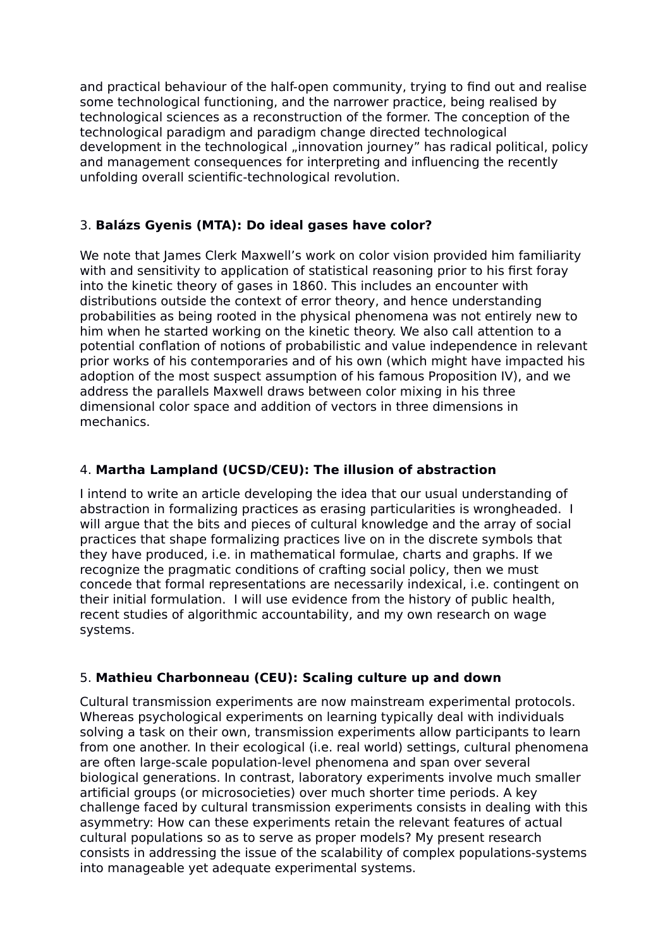and practical behaviour of the half-open community, trying to find out and realise some technological functioning, and the narrower practice, being realised by technological sciences as a reconstruction of the former. The conception of the technological paradigm and paradigm change directed technological development in the technological "innovation journey" has radical political, policy and management consequences for interpreting and influencing the recently unfolding overall scientific-technological revolution.

## 3. **Balázs Gyenis (MTA): Do ideal gases have color?**

We note that James Clerk Maxwell's work on color vision provided him familiarity with and sensitivity to application of statistical reasoning prior to his first foray into the kinetic theory of gases in 1860. This includes an encounter with distributions outside the context of error theory, and hence understanding probabilities as being rooted in the physical phenomena was not entirely new to him when he started working on the kinetic theory. We also call attention to a potential conflation of notions of probabilistic and value independence in relevant prior works of his contemporaries and of his own (which might have impacted his adoption of the most suspect assumption of his famous Proposition IV), and we address the parallels Maxwell draws between color mixing in his three dimensional color space and addition of vectors in three dimensions in mechanics.

# 4. **Martha Lampland (UCSD/CEU): The illusion of abstraction**

I intend to write an article developing the idea that our usual understanding of abstraction in formalizing practices as erasing particularities is wrongheaded. I will argue that the bits and pieces of cultural knowledge and the array of social practices that shape formalizing practices live on in the discrete symbols that they have produced, i.e. in mathematical formulae, charts and graphs. If we recognize the pragmatic conditions of crafting social policy, then we must concede that formal representations are necessarily indexical, i.e. contingent on their initial formulation. I will use evidence from the history of public health, recent studies of algorithmic accountability, and my own research on wage systems.

# 5. **Mathieu Charbonneau (CEU): Scaling culture up and down**

Cultural transmission experiments are now mainstream experimental protocols. Whereas psychological experiments on learning typically deal with individuals solving a task on their own, transmission experiments allow participants to learn from one another. In their ecological (i.e. real world) settings, cultural phenomena are often large-scale population-level phenomena and span over several biological generations. In contrast, laboratory experiments involve much smaller artificial groups (or microsocieties) over much shorter time periods. A key challenge faced by cultural transmission experiments consists in dealing with this asymmetry: How can these experiments retain the relevant features of actual cultural populations so as to serve as proper models? My present research consists in addressing the issue of the scalability of complex populations-systems into manageable yet adequate experimental systems.